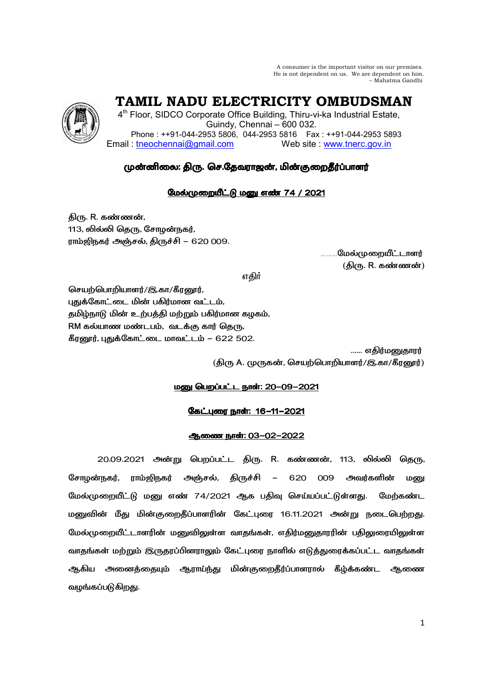A consumer is the important visitor on our premises. He is not dependent on us. We are dependent on him. – Mahatma Gandhi

 **TAMIL NADU ELECTRICITY OMBUDSMAN** 

4<sup>th</sup> Floor, SIDCO Corporate Office Building, Thiru-vi-ka Industrial Estate, Guindy, Chennai – 600 032. Phone : ++91-044-2953 5806, 044-2953 5816 Fax : ++91-044-2953 5893 Email: tneochennai@gmail.com Web site : www.tnerc.gov.in

# முன்னிலை: திரு. செ.தேவராஜன், மின்குறைதீர்ப்பாளர்

# மேல்முறையீட்டு மனு எண் 74 / 2021

திரு. R. கண்ணன், 113, லில்லி தெரு, சோழன்நகர், ராம்ஜிநகர் அஞ்சல், திருச்சி – 620 009.

<sub>………</sub>மேல்முறையீட்டாளர்  $\sim$  (திரு. R. கண்ணன்) மான் மான் மான் மான் (திரு. R. கண்ணன்)

ு பாட்டியான முறையில் குறியில் பாட்டியான <mark>எதிர்</mark> முறையில் பாட்டியான முறியில் பாட்டியான முறியில் பாட்டியான முறியி

செயற்பொறியாளர்/இ.கா/கீரனூர், புதுக்கோட்டை மின் பகிர்மான வட்டம், தமிழ்நாடு மின் உற்பத்தி மற்றும் பகிர்மான கழகம், RM கல்யாண மண்டபம், வடக்கு கார் தெரு, கீரனூர், புதுக்கோட்டை மாவட்டம் – 622 502.

...... எகிர்மனுகாரர் (திரு A. முருகன், செயற்பொறியாளர்/இ.கா/கீரனூர்)

# <u> மணு பெறப்பட்ட நாள்: 20-09-2021</u>

# கேட்புரை நாள்: 16-11-2021

# ஆணை நாள்: 03-02-2022

20.09.2021 அன்று பெறப்பட்ட திரு. R. கண்ணன், 113, லில்லி தெரு, சோமன்நகர். ராம்ஜிநகர் அஞ்சல், திருச்சி – 620 009 அவர்களின் மனு மேல்முறையீட்டு மனு எண் 74/2021 ஆக பதிவு செய்யப்பட்டுள்ளது. மேற்கண்ட மனுவின் மீது மின்குறைதீப்பாளரின் கேட்புரை 16.11.2021 அன்று நடைபெற்றது. மேல்முறையீட்டாளரின் மனுவிலுள்ள வாதங்கள், எதிர்மனுதாரரின் பதிலுரையிலுள்ள வாதங்கள் மற்றும் இருதரப்பினராலும் கேட்புரை நாளில் எடுத்துரைக்கப்பட்ட வாதங்கள் ஆகிய அனைத்தையும் ஆராய்ந்து மின்குறைதீர்ப்பாளரால் கீழ்க்கண்ட ஆணை வழங்கப்படுகிறது.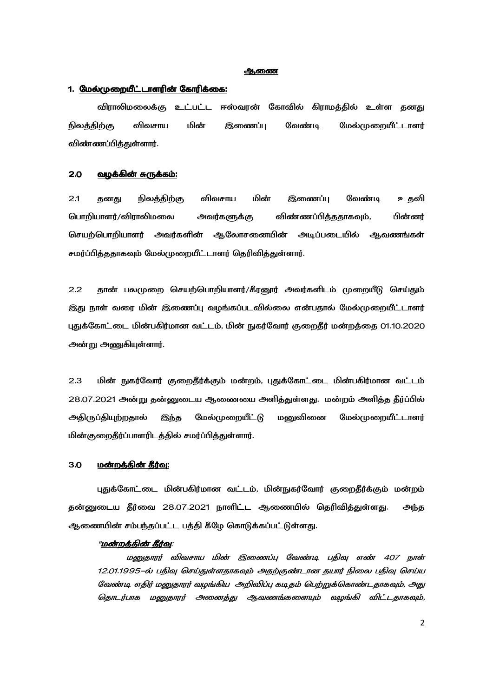#### **ஆ**ணை

## 1. <u>மேல்முறையீட்டாளரின் கோரிக்கை:</u>

விராலிமலைக்கு உட்பட்ட ஈஸ்வரன் கோவில் கிராமத்தில் உள்ள தனது நிலத்திற்கு விவசாய மின் இணைப்பு வேண்டி மேல்முறையீட்டாளர் விண்ணப்பிக்குள்ளார்.

#### 2.0 <u>வழக்கின் சுருக்கம்:</u>

2.1 தனது நிலத்திற்கு விவசாய மின் இணைப்பு வேண்டி உதவி பொறியாளர்/விராலிமலை அவர்களுக்கு விண்ணப்பித்ததாகவும், பின்னர் செயற்பொறியாளர் அவர்களின் ஆலோசனையின் அடிப்படையில் ஆவணங்கள் சமர்ப்பித்ததாகவும் மேல்முறையீட்டாளர் தெரிவித்துள்ளார்.

2.2 தான் பலமுறை செயற்பொறியாளர்/கீரனூர் அவர்களிடம் முறையீடு செய்தும் இது நாள் வரை மின் இணைப்பு வழங்கப்படவில்லை என்பதால் மேல்முறையீட்டாளர் புதுக்கோட்டை மின்பகிர்மான வட்டம், மின் நுகர்வோர் குறைதீர் மன்றத்தை 01.10.2020 அன்று அணுகியுள்ளார்.

2.3 மின் நுகர்வோர் குறைதீர்க்கும் மன்றம், புதுக்கோட்டை மின்பகிர்மான வட்டம் 28.07.2021 அன்று தன்னுடைய ஆணையை அளித்துள்ளது. மன்றம் அளித்த தீர்ப்பில் அதிருப்தியுற்றதால் இந்த மேல்முறையீட்டு மனுவினை மேல்முறையீட்டாளர் மின்குறைதீர்ப்பாளரிடத்தில் சமர்ப்பித்துள்ளார்.

#### 3.0 - <u>மன்றத்தின் தீர்வு:</u>

புதுக்கோட்டை மின்பகிர்மான வட்டம், மின்நுகர்வோர் குறைதீர்க்கும் மன்றம் தன்னுடைய தீர்வை 28.07.2021 நாளிட்ட ஆணையில் தெரிவித்துள்ளது. அந்த ஆணையின் சம்பந்தப்பட்ட பத்தி கீழே கொடுக்கப்பட்டுள்ளது.

#### "<u>மன்றத்தின் தீர்வு</u>:

மனுதாரர் விவசாய மின் இணைப்பு வேண்டி பதிவு எண் 407 நாள் 12.01.1995–ல் பதிவு செய்துள்ளதாகவும் அதற்குண்டான தயார் நிலை பதிவு செய்ய வேண்டி எதிர் மனுதாரர் வழங்கிய அறிவிப்பு கடிதம் பெற்றுக்கொண்டதாகவும், அது தொடர்பாக மனுதாரர் அனைத்து ஆவணங்களையும் வழங்கி விட்டதாகவும்,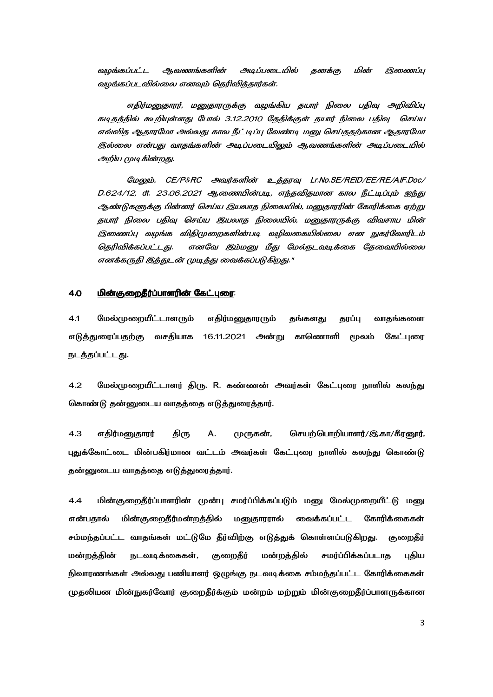அடிப்படையில் தனக்கு ஆவணங்களின் மின் வமங்கப்பட்ட இணைப்பு வழங்கப்படவில்லை எனவும் தெரிவித்தார்கள்.

எதிர்மனுதாரர், மனுதாரருக்கு வழங்கிய தயார் நிலை பதிவு அறிவிப்பு கடிதத்தில் கூறியுள்ளது போல் 3.12.2010 தேதிக்குள் தயார் நிலை பதிவு செய்ய எவ்வித ஆதாரமோ அல்லது கால நீட்டிப்பு வேண்டி மனு செய்ததற்கான ஆதாரமோ இல்லை என்பது வாதங்களின் அடிப்படையிலும் ஆவணங்களின் அடிப்படையில் அறிய முடிகின்றது.

மேலும், CE/P&RC அவர்களின் உத்தரவு Lr.No.SE/REID/EE/RE/AIF.Doc/ D.624/12, dt. 23.06.2021 ஆணையின்படி, எந்தவிதமான கால நீட்டிப்பும் ஐந்து ஆண்டுகளுக்கு பின்னர் செய்ய இயலாத நிலையில், மனுகாரரின் கோரிக்கை ஏற்று தயார் நிலை பதிவு செய்ய இயலாத நிலையில், மனுதாரருக்கு விவசாய மின் இணைப்பு வழங்க விகிமுறைகளின்படி வழிவகையில்லை என நுகர்வோரிடம் தெரிவிக்கப்பட்டது. எனவே இம்மனு மீது மேல்நடவடிக்கை தேவையில்லை எனக்கருதி இத்துடன் முடித்து வைக்கப்படுகிறது."

#### <u>மின்குறைதீர்ப்பாளரின் கேட்புரை:</u> 4.0

மேல்முறையீட்டாளரும்  $4.1$ எதிர்மனுதாரரும் தங்களது தரப்பு வாதங்களை எடுத்துரைப்பதற்கு வசதியாக 16.11.2021 அன்று காணொளி மூலம் கேட்புரை நடத்தப்பட்டது.

 $4.2$ மேல்முறையீட்டாளர் திரு. R. கண்ணன் அவர்கள் கேட்புரை நாளில் கலந்து கொண்டு தன்னுடைய வாதத்தை எடுத்துரைத்தார்.

 $4.3$ எதிர்மனுதாரர் திரு А. (ழருகன், செயற்பொறியாளர்/இ.கா/கீரனூர், புதுக்கோட்டை மின்பகிர்மான வட்டம் அவர்கள் கேட்புரை நாளில் கலந்து கொண்டு தன்னுடைய வாதத்தை எடுத்துரைத்தார்.

மின்குறைதீர்ப்பாளரின் முன்பு சமர்ப்பிக்கப்படும் மனு மேல்முறையீட்டு மனு  $4.4$ என்பதால் மின்குறைதீர்மன்றத்தில் மனுதாரரால் வைக்கப்பட்ட கோரிக்கைகள் சம்மந்தப்பட்ட வாதங்கள் மட்டுமே தீர்விற்கு எடுத்துக் கொள்ளப்படுகிறது. குறைதீர் குறைதீர் மன்றத்தின் நடவடிக்கைகள், மன்றத்தில் சமர்ப்பிக்கப்படாத புதிய நிவாரணங்கள் அல்லது பணியாளர் ஒழுங்கு நடவடிக்கை சம்மந்தப்பட்ட கோரிக்கைகள் முதலியன மின்நுகர்வோர் குறைதீர்க்கும் மன்றம் மற்றும் மின்குறைதீர்ப்பாளருக்கான

 $\overline{3}$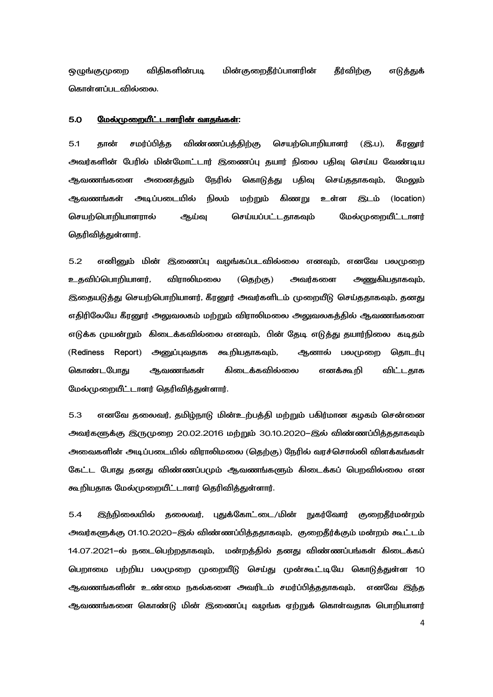ஒழுங்குமுறை விதிகளின்படி படி மின்குறைதீர்ப்பாளரின் தீர்விற்கு எடுத்துக் கொள்ளப்படவில்லை.

#### 5.0 
;X- Z+P Z+P:

5.1 கான் சமர்ப்பிக்க விண்ணப்பக்கிற்கு செயற்பொறியாளர் (இ.ப), கீரனார் அவர்களின் பேரில் மின்மோட்டார் இணைப்பு தயார் நிலை பதிவு செய்ய வேண்டிய ஆவணங்களை அனைத்தும் நேரில் கொடுத்து பதிவு செய்ததாகவும், மேலும் ஆவணங்கள் அடிப்படையில் நிலம் மற்றும் கிணறு உள்ள இடம் (location) செயற்பொறியாளரால் ஆய்வு செய்யப்பட்டதாகவும் மேல்முறையீட்டாளர் கெரிவிக்குள்ளார்.

5.2 எனினும் மின் இணைப்பு வழங்கப்படவில்லை எனவும், எனவே பலமுறை உதவிப்பொறியாளர், விராலிமலை (தெற்கு) அவர்களை அணுகியதாகவும், இதையடுத்து செயற்பொறியாளர், கீரனூர் அவர்களிடம் முறையீடு செய்ததாகவும், தனது எதிரிலேயே கீரனூர் அலுவலகம் மற்றும் விராலிமலை அலுவலகத்தில் ஆவணங்களை எடுக்க முயன்றும் கிடைக்கவில்லை எனவும், பின் தேடி எடுத்து தயார்நிலை கடிதம் (Rediness Report) அனுப்புவதாக கூறியதாகவும், ஆனால் பலமுறை தொடர்பு கொண்டபோது ஆவணங்கள் கிடைக்கவில்லை எனக்கூறி விட்டதாக மேல்முறையீட்டாளர் தெரிவித்துள்ளார்.

5.3 எனவே தலைவர், தமிழ்நாடு மின்உற்பத்தி மற்றும் பகிர்மான கழகம் சென்னை அவர்களுக்கு இருமுறை 20.02.2016 மற்றும் 30.10.2020–இல் விண்ணப்பித்ததாகவும் அவைகளின் அடிப்படையில் விராலிமலை (தெற்கு) நேரில் வரச்சொல்லி விளக்கங்கள் கேட்ட போது தனது விண்ணப்பமும் ஆவணங்களும் கிடைக்கப் பெறவில்லை என கூறியதாக மேல்முறையீட்டாளர் தெரிவித்துள்ளார்.

5.4 இந்நிலையில் தலைவர், புதுக்கோட்டை/மின் நுகர்வோர் குறைதீர்மன்றம் அவர்களுக்கு 01.10.2020–இல் விண்ணப்பித்ததாகவும், குறைதீர்க்கும் மன்றம் கூட்டம் 14.07.2021–ல் நடைபெற்றதாகவும், மன்றத்தில் தனது விண்ணப்பங்கள் கிடைக்கப் பெறாமை பற்றிய பலமுறை முறையீடு செய்து முன்கூட்டியே கொடுத்துள்ள 10 ஆவணங்களின் உண்மை நகல்களை அவரிடம் சமர்ப்பித்ததாகவும், எனவே இந்த ஆவணங்களை கொண்டு மின் இணைப்பு வழங்க ஏற்றுக் கொள்வதாக பொறியாளர்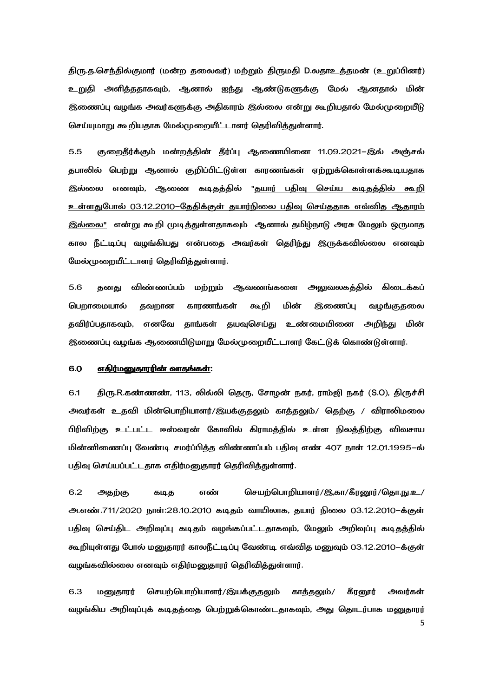திரு.த.செந்தில்குமார் (மன்ற தலைவர்) மற்றும் திருமதி D.லதாஉத்தமன் (உறுப்பினர்) உறுதி அளித்ததாகவும், ஆனால் ஐந்து ஆண்டுகளுக்கு மேல் ஆனதால் மின் இணைப்பு வழங்க அவர்களுக்கு அதிகாரம் இல்லை என்று கூறியதால் மேல்முறையீடு செய்யுமாறு கூறியதாக மேல்முறையீட்டாளர் தெரிவித்துள்ளார்.

5.5 குறைதீர்க்கும் மன்றத்தின் தீர்ப்பு ஆணையினை 11.09.2021–இல் அஞ்சல் தபாலில் பெற்று ஆனால் குறிப்பிட்டுள்ள காரணங்கள் ஏற்றுக்கொள்ளக்கூடியதாக இல்லை எனவும், ஆணை கடிதத்தில் "தயார் பதிவு செய்ய கடிதத்தில் கூறி உள்ளதுபோல் O3.12.2010–தேதிக்குள் தயார்நிலை பதிவு செய்ததாக எவ்வித ஆதாரம் <u>இல்லை"</u> என்று கூறி முடித்துள்ளதாகவும் ஆனால் தமிழ்நாடு அரசு மேலும் ஒருமாத கால நீட்டிப்பு வழங்கியது என்பதை அவர்கள் தெரிந்து இருக்கவில்லை எனவும் மேல்முறையீட்டாளர் தெரிவித்துள்ளார்.

5.6 கனது விண்ணப்பம் மற்றும் ஆவணங்களை அலுவலகக்கில் கிடைக்கப் பெறாமையால் தவறான காரணங்கள் கூறி மின் இணைப்பு வழங்குதலை தவிர்ப்பதாகவும், எனவே தாங்கள் தயவுசெய்து உண்மையினை அறிந்து மின் இணைப்பு வழங்க ஆணையிடுமாறு மேல்முறையீட்டாளர் கேட்டுக் கொண்டுள்ளார்.

#### 6.0 <u>எதிர்மனுதாரரின் வாதங்கள்</u>:

6.1 திரு.R.கண்ணண், 113, லில்லி தெரு, சோழன் நகர், ராம்ஜி நகர் (S.O), திருச்சி அவர்கள் உதவி மின்பொறியாளர்/இயக்குதலும் காத்தலும்/ தெற்கு / விராலிமலை பிரிவிற்கு உட்பட்ட ஈஸ்வரன் கோவில் கிராமத்தில் உள்ள நிலத்திற்கு விவசாய மின்னிணைப்பு வேண்டி சமர்ப்பித்த விண்ணப்பம் பதிவு எண் 407 நாள் 12.01.1995–ல் பதிவு செய்யப்பட்டதாக எதிர்மனுதாரர் தெரிவித்துள்ளார்.

6.2 அதற்கு கடித எண் செயற்பொறியாளர்/இ,கா/கீரனூர்/தொ.நு.உ/ <u>அ.எண்.711/2020 நாள்:28.10.2010 கடிதம் வாயிலாக, தயார் நிலை 03.12.2010–க்குள்</u> பதிவு செய்திட அறிவுப்பு கடிதம் வழங்கப்பட்டதாகவும், மேலும் அறிவுப்பு கடிதத்தில் கூறியுள்ளது போல் மனுதாரர் காலநீட்டிப்பு வேண்டி எவ்வித மனுவும் 03.12.2010–க்குள் வழங்கவில்லை எனவும் எதிர்மனுதாரர் தெரிவித்துள்ளார்.

5 6.3 மனுதாரர் செயற்பொறியாளர்/இயக்குதலும் காத்தலும்/ கீரனூர் அவர்கள் வழங்கிய அறிவுப்புக் கடிதத்தை பெற்றுக்கொண்டதாகவும், அது தொடர்பாக மனுதாரர்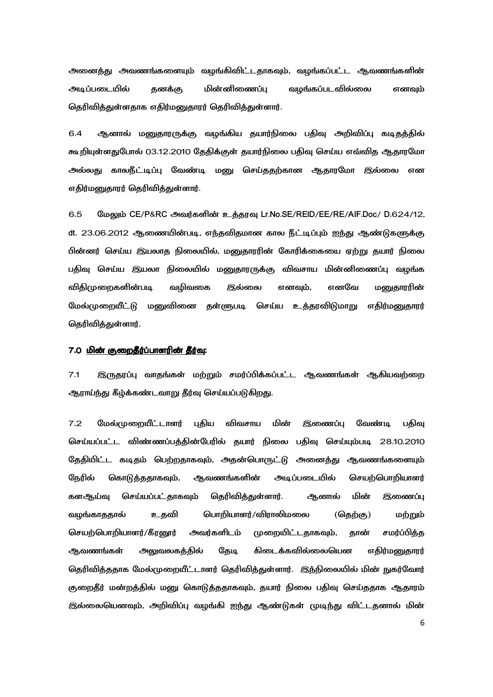அனைத்து அவணங்களையும் வழங்கிவிட்டதாகவும், வழங்கப்பட்ட ஆவணங்களின் அடிப்படையில் கனக்கு மின்னிணைப்பு வழங்கப்படவில்லை எனவும் தெரிவித்துள்ளதாக எதிர்மனுதாரர் தெரிவித்துள்ளார்.

6.4 ஆனால் மனுதாரருக்கு வழங்கிய தயார்நிலை பதிவு அறிவிப்பு கடிதத்தில் கூறியுள்ளதுபோல் 03.12.2010 தேதிக்குள் தயார்நிலை பதிவு செய்ய எவ்வித ஆதாரமோ அல்லது காலநீட்டிப்பு வேண்டி மனு செய்ததற்கான ஆதாரமோ இல்லை என எதிர்மனுதாரர் தெரிவித்துள்ளார்.

6.5 மேலும் CE/P&RC அவர்களின் உத்தரவு Lr.No.SE/REID/EE/RE/AIF.Doc/ D.624/12, dt. 23.06.2012 ஆணையின்படி, எந்தவிதமான கால நீட்டிப்பும் ஐந்து ஆண்டுகளுக்கு பின்னர் செய்ய இயலாத நிலையில், மனுதாரரின் கோரிக்கையை ஏற்று தயார் நிலை பதிவு செய்ய இயலா நிலையில் மனுதாரருக்கு விவசாய மின்னிணைப்பு வழங்க விகிமுறைகளின்படி படி வழிவகை இல்லை எனவும், எனவே மனுதாரரின் மேல்முறையீட்டு மனுவினை தள்ளுபடி செய்ய உத்தரவிடுமாறு எதிர்மனுதாரர் தெரிவித்துள்ளார்.

### 7.0 <u>மின் குறைதீர்ப்பாளரின் தீர்வு</u>:

7.1 இருதரப்பு வாதங்கள் மற்றும் சமர்ப்பிக்கப்பட்ட ஆவணங்கள் ஆகியவற்றை ஆராய்ந்து கீழ்க்கண்டவாறு தீர்வு செய்யப்படுகிறது.

7.2 மேல்முறையீட்டாளர் புதிய விவசாய மின் இணைப்பு வேண்டி பதிவு செய்யப்பட்ட விண்ணப்பத்தின்பேரில் தயார் நிலை பதிவு செய்யும்படி 28.10.2010 தேதியிட்ட கடிதம் பெற்றதாகவும், அதன்பொருட்டு அனைத்து ஆவணங்களையும் நேரில் கொடுத்ததாகவும், ஆவணங்களின் அடிப்படையில் செயற்பொறியாளர் களஆய்வு செய்யப்பட்தாகவும் தெரிவித்துள்ளார். ஆனால் மின் இணைப்பு வழங்காததால் உதவி பொறியாளர்/விராலிமலை (தெற்கு) மற்றும் செயற்பொறியாளர்/கீரனூர் அவர்களிடம் முறையிட்டதாகவும், தான் சமர்ப்பித்த ஆவணங்கள் அலுவலகத்தில் தேடி கிடைக்கவில்லையென எதிர்மனுதாரர் தெரிவித்ததாக மேல்முறையீட்டாளர் தெரிவித்துள்ளார். இந்நிலையில் மின் நுகர்வோர் குறைதீர் மன்றத்தில் மனு கொடுத்ததாகவும், தயார் நிலை பதிவு செய்ததாக ஆதாரம் இல்லையெனவும், அறிவிப்பு வழங்கி ஐந்து ஆண்டுகள் முடிந்து விட்டதனால் மின்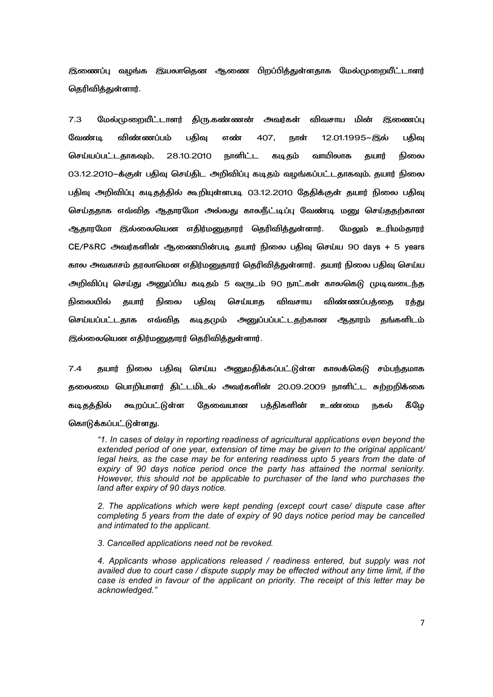இணைப்பு வழங்க இயலாதென ஆணை பிறப்பித்துள்ளதாக மேல்முறையீட்டாளர் தெரிவித்துள்ளார்.

7.3 மேல்முறையீட்டாளர் திரு.கண்ணன் அவர்கள் ூவர்கள் விவசாய மின் இணைப்பு வேண்டி விண்ணப்பம் பதிவு எண் 407, நாள் 12.01.1995–இல் பதிவு செய்யப்பட்டதாகவும், 28.10.2010 நாளிட்ட கடிகம் வாயிலாக கயார் நிலை 03.12.2010-க்குள் பதிவு செய்திட அறிவிப்பு கடிதம் வழங்கப்பட்டதாகவும், தயார் நிலை பதிவு அறிவிப்பு கடிதத்தில் கூறியுள்ளபடி 03.12.2010 தேதிக்குள் தயார் நிலை பதிவு செய்ததாக எவ்வித ஆதாரமோ அல்லது காலநீட்டிப்பு வேண்டி மனு செய்ததற்கான ஆதாரமோ இல்லையென எதிர்மனுதாரர் தெரிவித்துள்ளார். மேலும் உரிமம்தாரர் CE/P&RC அவர்களின் ஆணையின்படி தயார் நிலை பதிவு செய்ய 90 days + 5 years கால அவகாசம் தரலாமென எதிர்மனுதாரர் தெரிவித்துள்ளார். தயார் நிலை பதிவு செய்ய அறிவிப்பு செய்து அனுப்பிய கடிதம் 5 வருடம் 90 நாட்கள் காலகெடு முடிவடைந்த நிலையில் தயார் நிலை பதிவு செய்யாத விவசாய விண்ணப்பத்தை ரத்து செய்யப்பட்டதாக எவ்வித கடிதமும் அனுப்பப்பட்டதற்கான ஆதாரம் தங்களிடம் இல்லையென எதிர்மனுதாரர் தெரிவித்துள்ளார்.

7.4 தயார் நிலை பதிவு செய்ய அனுமதிக்கப்பட்டுள்ள காலக்கெடு சம்பந்தமாக தலைமை பொறியாளர் திட்டமிடல் அவர்களின் 20.09.2009 நாளிட்ட சுற்றறிக்கை கடிகக்கில் கூறப்பட்டுள்ள கேவையான பக்கிகளின் உண்மை நகல் கீமே கொடுக்கப்பட்டுள்ளது.

*"1. In cases of delay in reporting readiness of agricultural applications even beyond the extended period of one year, extension of time may be given to the original applicant/ legal heirs, as the case may be for entering readiness upto 5 years from the date of expiry of 90 days notice period once the party has attained the normal seniority. However, this should not be applicable to purchaser of the land who purchases the land after expiry of 90 days notice.* 

*2. The applications which were kept pending (except court case/ dispute case after completing 5 years from the date of expiry of 90 days notice period may be cancelled and intimated to the applicant.* 

*3. Cancelled applications need not be revoked.* 

*4. Applicants whose applications released / readiness entered, but supply was not availed due to court case / dispute supply may be effected without any time limit, if the case is ended in favour of the applicant on priority. The receipt of this letter may be acknowledged."*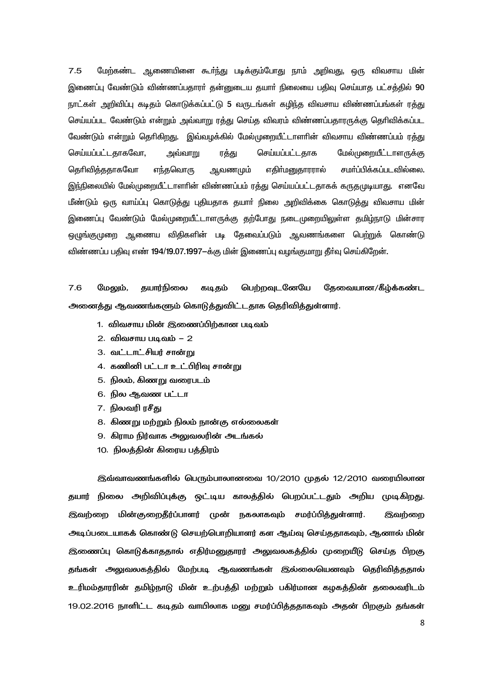$7.5$ மேற்கண்ட ஆணையினை கூா்ந்து படிக்கும்போது நாம் அறிவது, ஒரு விவசாய மின் இணைப்பு வேண்டும் விண்ணப்பகாரா் கன்னுடைய கயாா் நிலையை பகிவு செய்யாக பட்சக்கில் 90 நாட்கள் அறிவிப்பு கடிதம் கொடுக்கப்பட்டு 5 வருடங்கள் கழிந்த விவசாய விண்ணப்பங்கள் ரத்து செய்யப்பட வேண்டும் என்றும் அவ்வாறு ரத்து செய்த விவரம் விண்ணப்பதாரருக்கு தெரிவிக்கப்பட வேண்டும் என்றும் தெரிகிறது. இவ்வழக்கில் மேல்முறையீட்டாளரின் விவசாய விண்ணப்பம் ரத்து செய்யப்பட்டதாகவோ, செய்யப்பட்டதாக மேல்முறையீட்டாளருக்கு அவ்வாறு ரத்து கெரிவிக்ககாகவோ எந்தவொரு <u> ஆவணமும்</u> எகிர்மனுகாரரால் சமா்ப்பிக்கப்படவில்லை. இந்நிலையில் மேல்முறையீட்டாளரின் விண்ணப்பம் ரத்து செய்யப்பட்டதாகக் கருதமுடியாது. எனவே மீண்டும் ஒரு வாய்ப்பு கொடுத்து புதியதாக தயார் நிலை அறிவிக்கை கொடுத்து விவசாய மின் இணைப்பு வேண்டும் மேல்முறையீட்டாளருக்கு தற்போது நடைமுறையிலுள்ள தமிழ்நாடு மின்சார ஒமுங்குமுறை ஆணைய விதிகளின் படி தேவைப்படும் ஆவணங்களை பெற்றுக் கொண்டு விண்ணப்ப பதிவு எண் 194/19.07.1997-க்கு மின் இணைப்பு வழங்குமாறு தீர்வு செய்கிறேன்.

 $7.6$ மேலம். கயார்நிலை ெய்ற்றவடனேயே கேவையான/கீம்க்கண்ட கடிகம் அனைத்து ஆவணங்களும் கொடுத்துவிட்டதாக தெரிவித்துள்ளார்.

- 1. விவசாய மின் இணைப்பிற்கான படிவம்
- 2. விவசாய படிவம் 2
- 3. வட்டாட்சியர் சான்று
- 4. கணினி பட்டா உட்பிரிவு சான்று
- 5. நிலம், கிணறு வரைபடம்
- 6. நில ஆவண பட்டா
- 7. நிலவரி ரசீது
- 8. கிணறு மற்றும் நிலம் நான்கு எல்லைகள்
- 9. கிராம நிர்வாக அலுவலரின் அடங்கல்
- 10. நிலத்தின் கிரைய பத்திரம்

இவ்வாவணங்களில் பெரும்பாலானவை 10/2010 முதல் 12/2010 வரையிலான தயார் நிலை அறிவிப்புக்கு ஒட்டிய காலத்தில் பெறப்பட்டதும் அறிய முடிகிறது. இவற்றை மின்குறைதீர்ப்பாளர் முன் நகலாகவும் சமர்ப்பித்துள்ளார். இவற்றை அடிப்படையாகக் கொண்டு செயற்பொறியாளர் கள ஆய்வு செய்ததாகவும், ஆனால் மின் இணைப்பு கொடுக்காததால் எதிர்மனுதாரர் அலுவலகத்தில் முறையீடு செய்த பிறகு தங்கள் அலுவலகத்தில் மேற்படி ஆவணங்கள் இல்லையெனவும் தெரிவித்ததால் உரிமம்தாரரின் தமிழ்நாடு மின் உற்பத்தி மற்றும் பகிர்மான கழகத்தின் தலைவரிடம் 19.02.2016 நாளிட்ட கடிதம் வாயிலாக மனு சமர்ப்பிக்கதாகவும் அதன் பிறகும் தங்கள்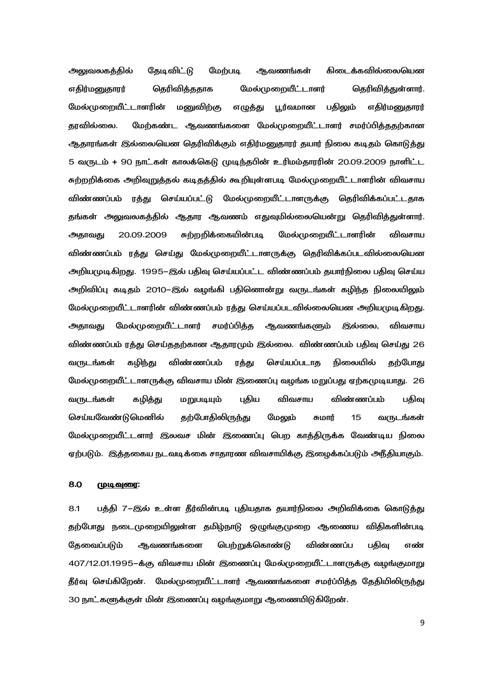ூலுவலகத்தில் தேடிவிட்டு மேற்படி ஆவணங்கள் கிடைக்கவில்லையென எதிர்மனுதாரர் தெரிவித்ததாக மேல்முறையீட்டாளர் தெரிவித்துள்ளார். மேல்முறையீட்டாளரின் மனுவிற்கு எழுத்து பூர்வமான பதிலும் எதிர்மனுதாரர் தரவில்லை. மேற்கண்ட ஆவணங்களை மேல்முறையீட்டாளர் சமர்ப்பித்ததற்கான ஆதாரங்கள் இல்லையென தெரிவிக்கும் எதிர்மனுதாரர் தயார் நிலை கடிதம் கொடுத்து 5 வருடம் + 90 நாட்கள் காலக்கெடு முடிந்தபின் உரிமம்தாரரின் 20.09.2009 நாளிட்ட சுற்றறிக்கை அறிவுறுத்தல் கடிதத்தில் கூறியுள்ளபடி மேல்முறையீட்டாளரின் விவசாய விண்ணப்பம் ரத்து செய்யப்பட்டு மேல்முறையீட்டாளருக்கு தெரிவிக்கப்பட்டதாக தங்கள் அலுவலகத்தில் ஆதார ஆவணம் எதுவுமில்லையென்று தெரிவித்துள்ளார். அதாவது 20.09.2009 சுற்றறிக்கையின்படி மேல்முறையீட்டாளரின் விவசாய விண்ணப்பம் ரத்து செய்து மேல்முறையீட்டாளருக்கு தெரிவிக்கப்படவில்லையென அறியமுடிகிறது. 1995–இல் பதிவு செய்யப்பட்ட விண்ணப்பம் கயார்நிலை பதிவு செய்ய அறிவிப்பு கடிதம் 2010–இல் வழங்கி பதினொன்று வருடங்கள் கழிந்த நிலையிலும் மேல்முறையீட்டாளரின் விண்ணப்பம் ரத்து செய்யப்படவில்லையென அறியமுடிகிறது. அதாவது மேல்முறையீட்டாளர் சமர்ப்பித்த ஆவணங்களும் இல்லை, விவசாய விண்ணப்பம் ரத்து செய்ததற்கான ஆதாரமும் இல்லை. விண்ணப்பம் பதிவு செய்து 26 வருடங்கள் கழிந்து விண்ணப்பம் ரத்து செய்யப்படாத நிலையில் தற்போது மேல்முறையீட்டாளருக்கு விவசாய மின் இணைப்பு வழங்க மறுப்பது ஏற்கமுடியாது. 26 வருடங்கள் கழித்து மறுபடியும் புதிய விவசாய விண்ணப்பம் பதிவு செய்யவேண்டுமெனில் தற்போதிலிருந்து மேலும் சுமார் 15 வருடங்கள் மேல்முறையீட்டளார் இலவச மின் இணைப்பு பெற காத்திருக்க வேண்டிய நிலை ஏற்படும். இத்தகைய நடவடிக்கை சாதாரண விவசாயிக்கு இழைக்கப்படும் அநீதியாகும்.

# 8.0 <u>முடிவுரை</u>:

8.1 பத்தி 7–இல் உள்ள தீர்வின்படி புதியதாக தயார்நிலை அறிவிக்கை கொடுத்து தற்போது நடைமுறையிலுள்ள தமிழ்நாடு ஒழுங்குமுறை ஆணைய விதிகளின்படி தேவைப்படும் ஆவணங்களை பெற்றுக்கொண்டு விண்ணப்ப பதிவு எண் 407/12.01.1995–க்கு விவசாய மின் இணைப்பு மேல்முறையீட்டாளருக்கு வழங்குமாறு தீர்வு செய்கிறேன். மேல்முறையீட்டாளர் ஆவணங்களை சமர்ப்பித்த தேதியிலிருந்து 30 நாட்களுக்குள் மின் இணைப்பு வழங்குமாறு ஆணையிடுகிறேன்.